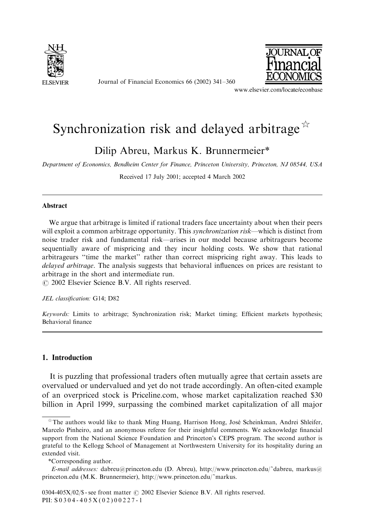

Journal of Financial Economics 66 (2002) 341–360



www.elsevier.com/locate/econbase

# Synchronization risk and delayed arbitrage  $\overline{\mathbb{R}}$

Dilip Abreu, Markus K. Brunnermeier\*

Department of Economics, Bendheim Center for Finance, Princeton University, Princeton, NJ 08544, USA

Received 17 July 2001; accepted 4 March 2002

#### Abstract

We argue that arbitrage is limited if rational traders face uncertainty about when their peers will exploit a common arbitrage opportunity. This *synchronization risk—which* is distinct from noise trader risk and fundamental risk—arises in our model because arbitrageurs become sequentially aware of mispricing and they incur holding costs. We show that rational arbitrageurs ''time the market'' rather than correct mispricing right away. This leads to delayed arbitrage. The analysis suggests that behavioral influences on prices are resistant to arbitrage in the short and intermediate run.

 $\odot$  2002 Elsevier Science B.V. All rights reserved.

JEL classification: G14; D82

Keywords: Limits to arbitrage; Synchronization risk; Market timing; Efficient markets hypothesis; Behavioral finance

# 1. Introduction

It is puzzling that professional traders often mutually agree that certain assets are overvalued or undervalued and yet do not trade accordingly. An often-cited example of an overpriced stock is Priceline.com, whose market capitalization reached \$30 billion in April 1999, surpassing the combined market capitalization of all major

 $\hat{X}$ The authors would like to thank Ming Huang, Harrison Hong, José Scheinkman, Andrei Shleifer, Marcelo Pinheiro, and an anonymous referee for their insightful comments. We acknowledge financial support from the National Science Foundation and Princeton's CEPS program. The second author is grateful to the Kellogg School of Management at Northwestern University for its hospitality during an extended visit.

<sup>\*</sup>Corresponding author.

E-mail addresses: dabreu@princeton.edu (D. Abreu), http://www.princeton.edu/~dabreu, markus@ princeton.edu (M.K. Brunnermeier), http://www.princeton.edu/~markus.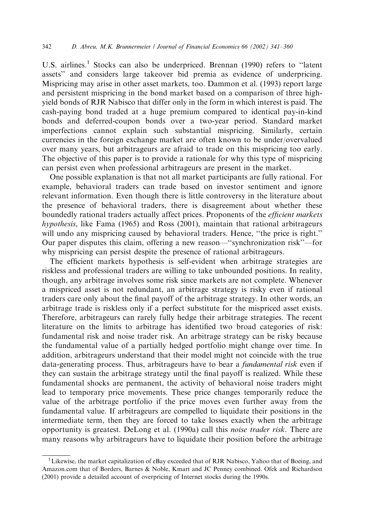U.S. airlines.<sup>1</sup> Stocks can also be underpriced. Brennan  $(1990)$  refers to "latent" assets'' and considers large takeover bid premia as evidence of underpricing. Mispricing may arise in other asset markets, too. Dammon et al. (1993) report large and persistent mispricing in the bond market based on a comparison of three highyield bonds of RJR Nabisco that differ only in the form in which interest is paid. The cash-paying bond traded at a huge premium compared to identical pay-in-kind bonds and deferred-coupon bonds over a two-year period. Standard market imperfections cannot explain such substantial mispricing. Similarly, certain currencies in the foreign exchange market are often known to be under/overvalued over many years, but arbitrageurs are afraid to trade on this mispricing too early. The objective of this paper is to provide a rationale for why this type of mispricing can persist even when professional arbitrageurs are present in the market.

One possible explanation is that not all market participants are fully rational. For example, behavioral traders can trade based on investor sentiment and ignore relevant information. Even though there is little controversy in the literature about the presence of behavioral traders, there is disagreement about whether these boundedly rational traders actually affect prices. Proponents of the *efficient markets* hypothesis, like Fama (1965) and Ross (2001), maintain that rational arbitrageurs will undo any mispricing caused by behavioral traders. Hence, "the price is right." Our paper disputes this claim, offering a new reason—''synchronization risk''—for why mispricing can persist despite the presence of rational arbitrageurs.

The efficient markets hypothesis is self-evident when arbitrage strategies are riskless and professional traders are willing to take unbounded positions. In reality, though, any arbitrage involves some risk since markets are not complete. Whenever a mispriced asset is not redundant, an arbitrage strategy is risky even if rational traders care only about the final payoff of the arbitrage strategy. In other words, an arbitrage trade is riskless only if a perfect substitute for the mispriced asset exists. Therefore, arbitrageurs can rarely fully hedge their arbitrage strategies. The recent literature on the limits to arbitrage has identified two broad categories of risk: fundamental risk and noise trader risk. An arbitrage strategy can be risky because the fundamental value of a partially hedged portfolio might change over time. In addition, arbitrageurs understand that their model might not coincide with the true data-generating process. Thus, arbitrageurs have to bear a fundamental risk even if they can sustain the arbitrage strategy until the final payoff is realized. While these fundamental shocks are permanent, the activity of behavioral noise traders might lead to temporary price movements. These price changes temporarily reduce the value of the arbitrage portfolio if the price moves even further away from the fundamental value. If arbitrageurs are compelled to liquidate their positions in the intermediate term, then they are forced to take losses exactly when the arbitrage opportunity is greatest. DeLong et al. (1990a) call this noise trader risk. There are many reasons why arbitrageurs have to liquidate their position before the arbitrage

<sup>&</sup>lt;sup>1</sup> Likewise, the market capitalization of eBay exceeded that of RJR Nabisco, Yahoo that of Boeing, and Amazon.com that of Borders, Barnes & Noble, Kmart and JC Penney combined. Ofek and Richardson (2001) provide a detailed account of overpricing of Internet stocks during the 1990s.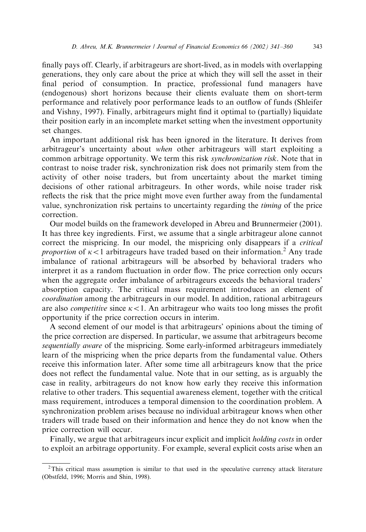finally pays off. Clearly, if arbitrageurs are short-lived, as in models with overlapping generations, they only care about the price at which they will sell the asset in their final period of consumption. In practice, professional fund managers have (endogenous) short horizons because their clients evaluate them on short-term performance and relatively poor performance leads to an outflow of funds (Shleifer and Vishny, 1997). Finally, arbitrageurs might find it optimal to (partially) liquidate their position early in an incomplete market setting when the investment opportunity set changes.

An important additional risk has been ignored in the literature. It derives from arbitrageur's uncertainty about when other arbitrageurs will start exploiting a common arbitrage opportunity. We term this risk *synchronization risk*. Note that in contrast to noise trader risk, synchronization risk does not primarily stem from the activity of other noise traders, but from uncertainty about the market timing decisions of other rational arbitrageurs. In other words, while noise trader risk reflects the risk that the price might move even further away from the fundamental value, synchronization risk pertains to uncertainty regarding the timing of the price correction.

Our model builds on the framework developed in Abreu and Brunnermeier (2001). It has three key ingredients. First, we assume that a single arbitrageur alone cannot correct the mispricing. In our model, the mispricing only disappears if a critical proportion of  $\kappa$ <1 arbitrageurs have traded based on their information.<sup>2</sup> Any trade imbalance of rational arbitrageurs will be absorbed by behavioral traders who interpret it as a random fluctuation in order flow. The price correction only occurs when the aggregate order imbalance of arbitrageurs exceeds the behavioral traders' absorption capacity. The critical mass requirement introduces an element of coordination among the arbitrageurs in our model. In addition, rational arbitrageurs are also *competitive* since  $\kappa < 1$ . An arbitrageur who waits too long misses the profit opportunity if the price correction occurs in interim.

A second element of our model is that arbitrageurs' opinions about the timing of the price correction are dispersed. In particular, we assume that arbitrageurs become sequentially aware of the mispricing. Some early-informed arbitrageurs immediately learn of the mispricing when the price departs from the fundamental value. Others receive this information later. After some time all arbitrageurs know that the price does not reflect the fundamental value. Note that in our setting, as is arguably the case in reality, arbitrageurs do not know how early they receive this information relative to other traders. This sequential awareness element, together with the critical mass requirement, introduces a temporal dimension to the coordination problem. A synchronization problem arises because no individual arbitrageur knows when other traders will trade based on their information and hence they do not know when the price correction will occur.

Finally, we argue that arbitrageurs incur explicit and implicit holding costs in order to exploit an arbitrage opportunity. For example, several explicit costs arise when an

<sup>&</sup>lt;sup>2</sup>This critical mass assumption is similar to that used in the speculative currency attack literature (Obstfeld, 1996; Morris and Shin, 1998).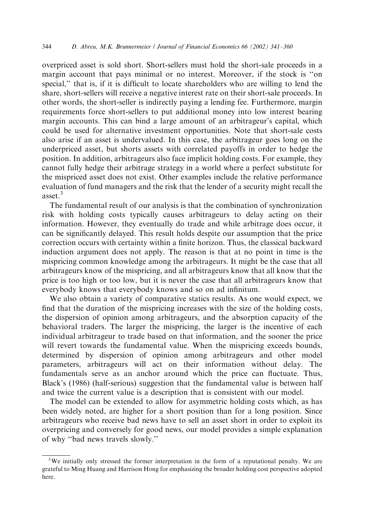overpriced asset is sold short. Short-sellers must hold the short-sale proceeds in a margin account that pays minimal or no interest. Moreover, if the stock is ''on special,'' that is, if it is difficult to locate shareholders who are willing to lend the share, short-sellers will receive a negative interest rate on their short-sale proceeds. In other words, the short-seller is indirectly paying a lending fee. Furthermore, margin requirements force short-sellers to put additional money into low interest bearing margin accounts. This can bind a large amount of an arbitrageur's capital, which could be used for alternative investment opportunities. Note that short-sale costs also arise if an asset is undervalued. In this case, the arbitrageur goes long on the underpriced asset, but shorts assets with correlated payoffs in order to hedge the position. In addition, arbitrageurs also face implicit holding costs. For example, they cannot fully hedge their arbitrage strategy in a world where a perfect substitute for the mispriced asset does not exist. Other examples include the relative performance evaluation of fund managers and the risk that the lender of a security might recall the asset $^3$ 

The fundamental result of our analysis is that the combination of synchronization risk with holding costs typically causes arbitrageurs to delay acting on their information. However, they eventually do trade and while arbitrage does occur, it can be significantly delayed. This result holds despite our assumption that the price correction occurs with certainty within a finite horizon. Thus, the classical backward induction argument does not apply. The reason is that at no point in time is the mispricing common knowledge among the arbitrageurs. It might be the case that all arbitrageurs know of the mispricing, and all arbitrageurs know that all know that the price is too high or too low, but it is never the case that all arbitrageurs know that everybody knows that everybody knows and so on ad infinitum.

We also obtain a variety of comparative statics results. As one would expect, we find that the duration of the mispricing increases with the size of the holding costs, the dispersion of opinion among arbitrageurs, and the absorption capacity of the behavioral traders. The larger the mispricing, the larger is the incentive of each individual arbitrageur to trade based on that information, and the sooner the price will revert towards the fundamental value. When the mispricing exceeds bounds, determined by dispersion of opinion among arbitrageurs and other model parameters, arbitrageurs will act on their information without delay. The fundamentals serve as an anchor around which the price can fluctuate. Thus, Black's (1986) (half-serious) suggestion that the fundamental value is between half and twice the current value is a description that is consistent with our model.

The model can be extended to allow for asymmetric holding costs which, as has been widely noted, are higher for a short position than for a long position. Since arbitrageurs who receive bad news have to sell an asset short in order to exploit its overpricing and conversely for good news, our model provides a simple explanation of why ''bad news travels slowly.''

<sup>&</sup>lt;sup>3</sup>We initially only stressed the former interpretation in the form of a reputational penalty. We are grateful to Ming Huang and Harrison Hong for emphasizing the broader holding cost perspective adopted here.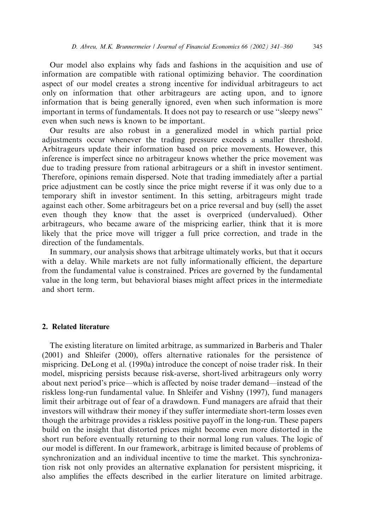Our model also explains why fads and fashions in the acquisition and use of information are compatible with rational optimizing behavior. The coordination aspect of our model creates a strong incentive for individual arbitrageurs to act only on information that other arbitrageurs are acting upon, and to ignore information that is being generally ignored, even when such information is more important in terms of fundamentals. It does not pay to research or use ''sleepy news'' even when such news is known to be important.

Our results are also robust in a generalized model in which partial price adjustments occur whenever the trading pressure exceeds a smaller threshold. Arbitrageurs update their information based on price movements. However, this inference is imperfect since no arbitrageur knows whether the price movement was due to trading pressure from rational arbitrageurs or a shift in investor sentiment. Therefore, opinions remain dispersed. Note that trading immediately after a partial price adjustment can be costly since the price might reverse if it was only due to a temporary shift in investor sentiment. In this setting, arbitrageurs might trade against each other. Some arbitrageurs bet on a price reversal and buy (sell) the asset even though they know that the asset is overpriced (undervalued). Other arbitrageurs, who became aware of the mispricing earlier, think that it is more likely that the price move will trigger a full price correction, and trade in the direction of the fundamentals.

In summary, our analysis shows that arbitrage ultimately works, but that it occurs with a delay. While markets are not fully informationally efficient, the departure from the fundamental value is constrained. Prices are governed by the fundamental value in the long term, but behavioral biases might affect prices in the intermediate and short term.

# 2. Related literature

The existing literature on limited arbitrage, as summarized in Barberis and Thaler (2001) and Shleifer (2000), offers alternative rationales for the persistence of mispricing. DeLong et al. (1990a) introduce the concept of noise trader risk. In their model, mispricing persists because risk-averse, short-lived arbitrageurs only worry about next period's price—which is affected by noise trader demand—instead of the riskless long-run fundamental value. In Shleifer and Vishny (1997), fund managers limit their arbitrage out of fear of a drawdown. Fund managers are afraid that their investors will withdraw their money if they suffer intermediate short-term losses even though the arbitrage provides a riskless positive payoff in the long-run. These papers build on the insight that distorted prices might become even more distorted in the short run before eventually returning to their normal long run values. The logic of our model is different. In our framework, arbitrage is limited because of problems of synchronization and an individual incentive to time the market. This synchronization risk not only provides an alternative explanation for persistent mispricing, it also amplifies the effects described in the earlier literature on limited arbitrage.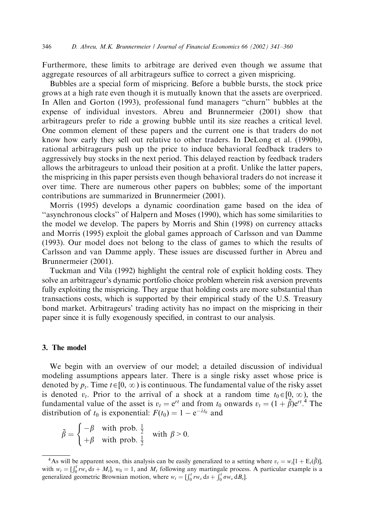Furthermore, these limits to arbitrage are derived even though we assume that aggregate resources of all arbitrageurs suffice to correct a given mispricing.

Bubbles are a special form of mispricing. Before a bubble bursts, the stock price grows at a high rate even though it is mutually known that the assets are overpriced. In Allen and Gorton (1993), professional fund managers ''churn'' bubbles at the expense of individual investors. Abreu and Brunnermeier (2001) show that arbitrageurs prefer to ride a growing bubble until its size reaches a critical level. One common element of these papers and the current one is that traders do not know how early they sell out relative to other traders. In DeLong et al. (1990b), rational arbitrageurs push up the price to induce behavioral feedback traders to aggressively buy stocks in the next period. This delayed reaction by feedback traders allows the arbitrageurs to unload their position at a profit. Unlike the latter papers, the mispricing in this paper persists even though behavioral traders do not increase it over time. There are numerous other papers on bubbles; some of the important contributions are summarized in Brunnermeier (2001).

Morris (1995) develops a dynamic coordination game based on the idea of ''asynchronous clocks'' of Halpern and Moses (1990), which has some similarities to the model we develop. The papers by Morris and Shin (1998) on currency attacks and Morris (1995) exploit the global games approach of Carlsson and van Damme (1993). Our model does not belong to the class of games to which the results of Carlsson and van Damme apply. These issues are discussed further in Abreu and Brunnermeier (2001).

Tuckman and Vila (1992) highlight the central role of explicit holding costs. They solve an arbitrageur's dynamic portfolio choice problem wherein risk aversion prevents fully exploiting the mispricing. They argue that holding costs are more substantial than transactions costs, which is supported by their empirical study of the U.S. Treasury bond market. Arbitrageurs' trading activity has no impact on the mispricing in their paper since it is fully exogenously specified, in contrast to our analysis.

#### 3. The model

We begin with an overview of our model; a detailed discussion of individual modeling assumptions appears later. There is a single risky asset whose price is denoted by  $p_t$ . Time  $t\in[0,\infty)$  is continuous. The fundamental value of the risky asset is denoted  $v_t$ . Prior to the arrival of a shock at a random time  $t_0 \in [0, \infty)$ , the fundamental value of the asset is  $v_t = e^{rt}$  and from  $t_0$  onwards  $v_t = (1 + \tilde{\beta})e^{rt}$ . The distribution of  $t_0$  is exponential:  $F(t_0) = 1 - e^{-\lambda t_0}$  and

$$
\tilde{\beta} = \begin{cases}\n-\beta & \text{with prob. } \frac{1}{2} \\
+\beta & \text{with prob. } \frac{1}{2}\n\end{cases}
$$
 with  $\beta > 0$ .

<sup>&</sup>lt;sup>4</sup> As will be apparent soon, this analysis can be easily generalized to a setting where  $v_t = w_t[1 + E_t(\tilde{\beta})]$ , with  $w_t = \int_0^t r w_s ds + M_t$ ,  $w_0 = 1$ , and  $M_t$  following any martingale process. A particular example is a generalized geometric Brownian motion, where  $w_t = \int_0^t r w_s \, ds + \int_0^t \sigma w_s \, dB_s$ ].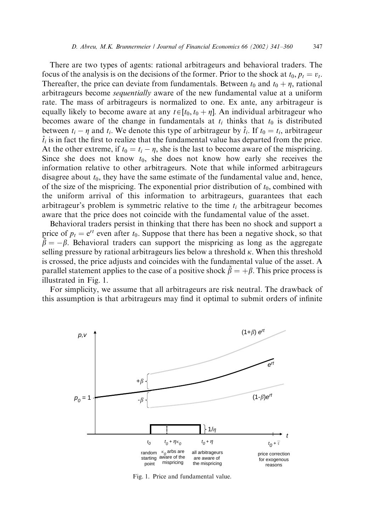There are two types of agents: rational arbitrageurs and behavioral traders. The focus of the analysis is on the decisions of the former. Prior to the shock at  $t_0$ ,  $p_t = v_t$ . Thereafter, the price can deviate from fundamentals. Between  $t_0$  and  $t_0 + \eta$ , rational arbitrageurs become sequentially aware of the new fundamental value at a uniform rate. The mass of arbitrageurs is normalized to one. Ex ante, any arbitrageur is equally likely to become aware at any  $t\in[t_0, t_0 + \eta]$ . An individual arbitrageur who becomes aware of the change in fundamentals at  $t_i$  thinks that  $t_0$  is distributed between  $t_i - \eta$  and  $t_i$ . We denote this type of arbitrageur by  $\hat{t}_i$ . If  $t_0 = t_i$ , arbitrageur  $\hat{t}_i$  is in fact the first to realize that the fundamental value has departed from the price. At the other extreme, if  $t_0 = t_i - \eta$ , she is the last to become aware of the mispricing. Since she does not know  $t_0$ , she does not know how early she receives the information relative to other arbitrageurs. Note that while informed arbitrageurs disagree about  $t_0$ , they have the same estimate of the fundamental value and, hence, of the size of the mispricing. The exponential prior distribution of  $t_0$ , combined with the uniform arrival of this information to arbitrageurs, guarantees that each arbitrageur's problem is symmetric relative to the time  $t_i$  the arbitrageur becomes aware that the price does not coincide with the fundamental value of the asset.

Behavioral traders persist in thinking that there has been no shock and support a price of  $p_t = e^{rt}$  even after  $t_0$ . Suppose that there has been a negative shock, so that  $\hat{\beta} = -\beta$ . Behavioral traders can support the mispricing as long as the aggregate selling pressure by rational arbitrageurs lies below a threshold  $\kappa$ . When this threshold is crossed, the price adjusts and coincides with the fundamental value of the asset. A parallel statement applies to the case of a positive shock  $\tilde{\beta} = +\beta$ . This price process is illustrated in Fig. 1.

For simplicity, we assume that all arbitrageurs are risk neutral. The drawback of this assumption is that arbitrageurs may find it optimal to submit orders of infinite



Fig. 1. Price and fundamental value.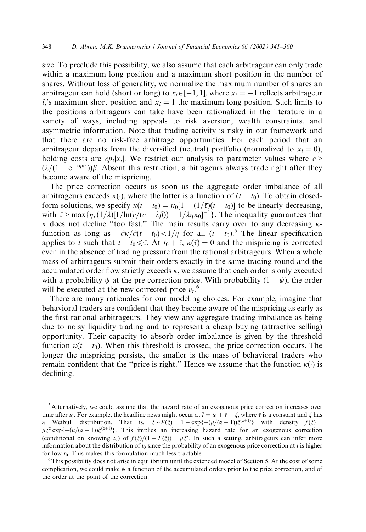size. To preclude this possibility, we also assume that each arbitrageur can only trade within a maximum long position and a maximum short position in the number of shares. Without loss of generality, we normalize the maximum number of shares an arbitrageur can hold (short or long) to  $x_i \in [-1, 1]$ , where  $x_i = -1$  reflects arbitrageur  $\hat{t}_i$ 's maximum short position and  $x_i = 1$  the maximum long position. Such limits to the positions arbitrageurs can take have been rationalized in the literature in a variety of ways, including appeals to risk aversion, wealth constraints, and asymmetric information. Note that trading activity is risky in our framework and that there are no risk-free arbitrage opportunities. For each period that an arbitrageur departs from the diversified (neutral) portfolio (normalized to  $x_i = 0$ ), holding costs are  $cp_t|x_i|$ . We restrict our analysis to parameter values where  $c >$  $\left(\frac{\lambda}{1} - e^{-\lambda \eta \kappa_0}\right)\beta$ . Absent this restriction, arbitrageurs always trade right after they become aware of the mispricing.

The price correction occurs as soon as the aggregate order imbalance of all arbitrageurs exceeds  $\kappa(\cdot)$ , where the latter is a function of  $(t-t_0)$ . To obtain closedform solutions, we specify  $\kappa(t - t_0) = \kappa_0[1 - (1/\bar{\tau})(t - t_0)]$  to be linearly decreasing, with  $\bar{\tau}$  > max $\{\eta,(1/\lambda)[1/\ln(c/(c - \lambda \beta)) - 1/\lambda \eta \kappa_0]^{-1}\}\$ . The inequality guarantees that  $\kappa$  does not decline "too fast." The main results carry over to any decreasing  $\kappa$ function as long as  $-\frac{\partial \kappa}{\partial (t - t_0)} < 1/\eta$  for all  $(t - t_0)$ .<sup>5</sup> The linear specification applies to t such that  $t - t_0 \leq \overline{\tau}$ . At  $t_0 + \overline{\tau}$ ,  $\kappa(\overline{\tau}) = 0$  and the mispricing is corrected even in the absence of trading pressure from the rational arbitrageurs. When a whole mass of arbitrageurs submit their orders exactly in the same trading round and the accumulated order flow strictly exceeds  $\kappa$ , we assume that each order is only executed with a probability  $\psi$  at the pre-correction price. With probability  $(1 - \psi)$ , the order will be executed at the new corrected price  $v_t$ <sup>6</sup>.

There are many rationales for our modeling choices. For example, imagine that behavioral traders are confident that they become aware of the mispricing as early as the first rational arbitrageurs. They view any aggregate trading imbalance as being due to noisy liquidity trading and to represent a cheap buying (attractive selling) opportunity. Their capacity to absorb order imbalance is given by the threshold function  $\kappa(t - t_0)$ . When this threshold is crossed, the price correction occurs. The longer the mispricing persists, the smaller is the mass of behavioral traders who remain confident that the "price is right." Hence we assume that the function  $\kappa(\cdot)$  is declining.

<sup>&</sup>lt;sup>5</sup> Alternatively, we could assume that the hazard rate of an exogenous price correction increases over time after  $t_0$ . For example, the headline news might occur at  $\bar{t} = t_0 + \bar{\tau} + \xi$ , where  $\bar{\tau}$  is a constant and  $\xi$  has a Weibull distribution. That is,  $\xi \sim F(\xi) = 1 - \exp\{-\mu/(\alpha+1)\xi^{(\alpha+1)}\}$  with density  $f(\xi) =$  $\mu \xi^{\alpha} \exp\{-(\mu/(\alpha+1))\xi^{(\alpha+1)}\}$ . This implies an increasing hazard rate for an exogenous correction (conditional on knowing  $t_0$ ) of  $f(\xi)/(1 - F(\xi)) = \mu \xi^{\alpha}$ . In such a setting, arbitrageurs can infer more information about the distribution of  $t_0$  since the probability of an exogenous price correction at t is higher for low  $t_0$ . This makes this formulation much less tractable.

<sup>&</sup>lt;sup>6</sup>This possibility does not arise in equilibrium until the extended model of Section 5. At the cost of some complication, we could make  $\psi$  a function of the accumulated orders prior to the price correction, and of the order at the point of the correction.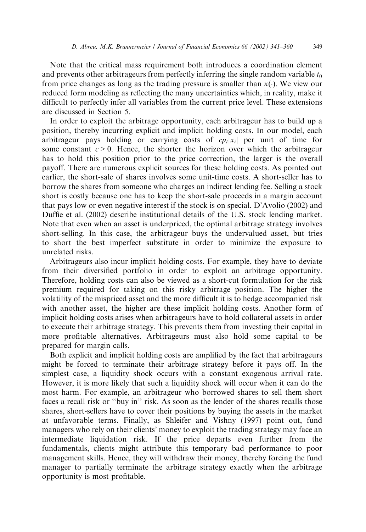Note that the critical mass requirement both introduces a coordination element and prevents other arbitrageurs from perfectly inferring the single random variable  $t_0$ from price changes as long as the trading pressure is smaller than  $\kappa(\cdot)$ . We view our reduced form modeling as reflecting the many uncertainties which, in reality, make it difficult to perfectly infer all variables from the current price level. These extensions are discussed in Section 5.

In order to exploit the arbitrage opportunity, each arbitrageur has to build up a position, thereby incurring explicit and implicit holding costs. In our model, each arbitrageur pays holding or carrying costs of  $cp<sub>t</sub>|x<sub>i</sub>$  per unit of time for some constant  $c > 0$ . Hence, the shorter the horizon over which the arbitrageur has to hold this position prior to the price correction, the larger is the overall payoff. There are numerous explicit sources for these holding costs. As pointed out earlier, the short-sale of shares involves some unit-time costs. A short-seller has to borrow the shares from someone who charges an indirect lending fee. Selling a stock short is costly because one has to keep the short-sale proceeds in a margin account that pays low or even negative interest if the stock is on special. D'Avolio (2002) and Duffie et al. (2002) describe institutional details of the U.S. stock lending market. Note that even when an asset is underpriced, the optimal arbitrage strategy involves short-selling. In this case, the arbitrageur buys the undervalued asset, but tries to short the best imperfect substitute in order to minimize the exposure to unrelated risks.

Arbitrageurs also incur implicit holding costs. For example, they have to deviate from their diversified portfolio in order to exploit an arbitrage opportunity. Therefore, holding costs can also be viewed as a short-cut formulation for the risk premium required for taking on this risky arbitrage position. The higher the volatility of the mispriced asset and the more difficult it is to hedge accompanied risk with another asset, the higher are these implicit holding costs. Another form of implicit holding costs arises when arbitrageurs have to hold collateral assets in order to execute their arbitrage strategy. This prevents them from investing their capital in more profitable alternatives. Arbitrageurs must also hold some capital to be prepared for margin calls.

Both explicit and implicit holding costs are amplified by the fact that arbitrageurs might be forced to terminate their arbitrage strategy before it pays off. In the simplest case, a liquidity shock occurs with a constant exogenous arrival rate. However, it is more likely that such a liquidity shock will occur when it can do the most harm. For example, an arbitrageur who borrowed shares to sell them short faces a recall risk or ''buy in'' risk. As soon as the lender of the shares recalls those shares, short-sellers have to cover their positions by buying the assets in the market at unfavorable terms. Finally, as Shleifer and Vishny (1997) point out, fund managers who rely on their clients' money to exploit the trading strategy may face an intermediate liquidation risk. If the price departs even further from the fundamentals, clients might attribute this temporary bad performance to poor management skills. Hence, they will withdraw their money, thereby forcing the fund manager to partially terminate the arbitrage strategy exactly when the arbitrage opportunity is most profitable.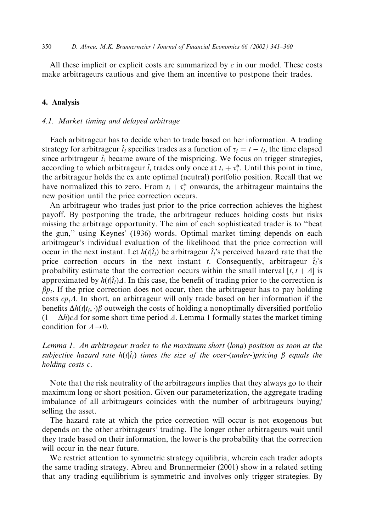All these implicit or explicit costs are summarized by  $c$  in our model. These costs make arbitrageurs cautious and give them an incentive to postpone their trades.

#### 4. Analysis

## 4.1. Market timing and delayed arbitrage

Each arbitrageur has to decide when to trade based on her information. A trading strategy for arbitrageur  $\hat{t}_i$  specifies trades as a function of  $\tau_i = t - t_i$ , the time elapsed since arbitrageur  $\hat{t}_i$  became aware of the mispricing. We focus on trigger strategies, according to which arbitrageur  $\hat{t}_i$  trades only once at  $t_i + \tau_i^*$ . Until this point in time, the arbitrageur holds the ex ante optimal (neutral) portfolio position. Recall that we have normalized this to zero. From  $t_i + \tau_i^*$  onwards, the arbitrageur maintains the new position until the price correction occurs.

An arbitrageur who trades just prior to the price correction achieves the highest payoff. By postponing the trade, the arbitrageur reduces holding costs but risks missing the arbitrage opportunity. The aim of each sophisticated trader is to ''beat the gun,'' using Keynes' (1936) words. Optimal market timing depends on each arbitrageur's individual evaluation of the likelihood that the price correction will occur in the next instant. Let  $h(t|\hat{t}_i)$  be arbitrageur  $\hat{t}_i$ 's perceived hazard rate that the price correction occurs in the next instant *t*. Consequently, arbitrageur  $\hat{t}_i$ 's probability estimate that the correction occurs within the small interval  $[t, t + \Delta]$  is approximated by  $h(t|\hat{t}_i) \Delta$ . In this case, the benefit of trading prior to the correction is  $\beta p_t$ . If the price correction does not occur, then the arbitrageur has to pay holding costs  $c p_t \Delta$ . In short, an arbitrageur will only trade based on her information if the benefits  $\Delta h(t|t_i, \cdot)$  outweigh the costs of holding a nonoptimally diversified portfolio  $(1 - \Delta h)c\Delta$  for some short time period  $\Delta$ . Lemma 1 formally states the market timing condition for  $\Delta \rightarrow 0$ .

# Lemma 1. An arbitrageur trades to the maximum short (long) position as soon as the subjective hazard rate h $(t|\hat{t}_i)$  times the size of the over-(under-)pricing  $\beta$  equals the holding costs c.

Note that the risk neutrality of the arbitrageurs implies that they always go to their maximum long or short position. Given our parameterization, the aggregate trading imbalance of all arbitrageurs coincides with the number of arbitrageurs buying/ selling the asset.

The hazard rate at which the price correction will occur is not exogenous but depends on the other arbitrageurs' trading. The longer other arbitrageurs wait until they trade based on their information, the lower is the probability that the correction will occur in the near future.

We restrict attention to symmetric strategy equilibria, wherein each trader adopts the same trading strategy. Abreu and Brunnermeier (2001) show in a related setting that any trading equilibrium is symmetric and involves only trigger strategies. By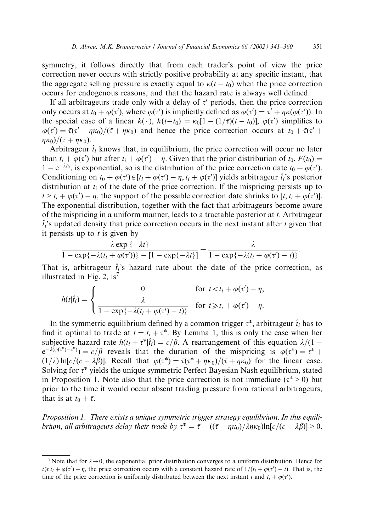symmetry, it follows directly that from each trader's point of view the price correction never occurs with strictly positive probability at any specific instant, that the aggregate selling pressure is exactly equal to  $\kappa(t - t_0)$  when the price correction occurs for endogenous reasons, and that the hazard rate is always well defined.

If all arbitrageurs trade only with a delay of  $\tau'$  periods, then the price correction only occurs at  $t_0 + \varphi(\tau')$ , where  $\varphi(\tau')$  is implicitly defined as  $\varphi(\tau') = \tau' + \eta \kappa(\varphi(\tau'))$ . In the special case of a linear  $k(\cdot)$ ,  $k(t-t_0) = \kappa_0[1 - (1/\bar{\tau})(t-t_0)], \varphi(\tau')$  simplifies to  $\varphi(\tau') = \bar{\tau}(\tau' + \eta \kappa_0)/(\bar{\tau} + \eta \kappa_0)$  and hence the price correction occurs at  $t_0 + \bar{\tau}(\tau' + \eta \kappa_0)$  $\eta\kappa_0$  $/(\bar{\tau} + \eta\kappa_0)$ .

Arbitrageur  $\hat{t}_i$  knows that, in equilibrium, the price correction will occur no later than  $t_i + \varphi(\tau')$  but after  $t_i + \varphi(\tau') - \eta$ . Given that the prior distribution of  $t_0$ ,  $F(t_0) =$  $1 - e^{-\lambda t_0}$ , is exponential, so is the distribution of the price correction date  $t_0 + \varphi(\tau')$ . Conditioning on  $t_0 + \varphi(\tau') \in [t_i + \varphi(\tau') - \eta, t_i + \varphi(\tau')]$  yields arbitrageur  $\hat{t}_i$ 's posterior distribution at  $t_i$  of the date of the price correction. If the mispricing persists up to  $t > t_i + \varphi(\tau') - \eta$ , the support of the possible correction date shrinks to [t,  $t_i + \varphi(\tau')$ ]. The exponential distribution, together with the fact that arbitrageurs become aware of the mispricing in a uniform manner, leads to a tractable posterior at  $t$ . Arbitrageur  $\hat{t}_i$ 's updated density that price correction occurs in the next instant after t given that it persists up to  $t$  is given by

$$
\frac{\lambda \exp\{-\lambda t\}}{1-\exp\{-\lambda(t_i+\varphi(\tau'))\}-[1-\exp\{-\lambda t\}]}=\frac{\lambda}{1-\exp\{-\lambda(t_i+\varphi(\tau')-t)\}}.
$$

That is, arbitrageur  $\hat{t}_i$ 's hazard rate about the date of the price correction, as illustrated in Fig. 2, is<sup>7</sup>

$$
h(t|\hat{t}_i) = \begin{cases} 0 & \text{for } t < t_i + \varphi(\tau') - \eta, \\ \frac{\lambda}{1 - \exp\{-\lambda(t_i + \varphi(\tau') - t)\}} & \text{for } t \ge t_i + \varphi(\tau') - \eta. \end{cases}
$$

In the symmetric equilibrium defined by a common trigger  $\tau^*$ , arbitrageur  $\hat{t}_i$  has to find it optimal to trade at  $t = t_i + \tau^*$ . By Lemma 1, this is only the case when her subjective hazard rate  $h(t_i + \tau^*|\hat{t}_i) = c/\beta$ . A rearrangement of this equation  $\lambda/(1-\tau^*)$  $e^{-\lambda(\varphi(\tau^*)-\tau^*)} = c/\beta$  reveals that the duration of the mispricing is  $\varphi(\tau^*) = \tau^* + \pi^*$  $(1/\lambda)\ln[c/(c-\lambda\beta)]$ . Recall that  $\varphi(\tau^*) = \bar{\tau}(\tau^* + \eta\kappa_0)/(\bar{\tau} + \eta\kappa_0)$  for the linear case. Solving for  $\tau^*$  yields the unique symmetric Perfect Bayesian Nash equilibrium, stated in Proposition 1. Note also that the price correction is not immediate  $(\tau^* > 0)$  but prior to the time it would occur absent trading pressure from rational arbitrageurs, that is at  $t_0 + \bar{\tau}$ .

Proposition 1. There exists a unique symmetric trigger strategy equilibrium. In this equilibrium, all arbitrageurs delay their trade by  $\tau^* = \bar{\tau} - ((\bar{\tau} + \eta \kappa_0)/\lambda \eta \kappa_0) \ln[c/(c - \lambda \beta)] > 0.$ 

<sup>&</sup>lt;sup>7</sup>Note that for  $\lambda \rightarrow 0$ , the exponential prior distribution converges to a uniform distribution. Hence for  $t \geq t_i + \varphi(\tau') - \eta$ , the price correction occurs with a constant hazard rate of  $1/(t_i + \varphi(\tau') - t)$ . That is, the time of the price correction is uniformly distributed between the next instant t and  $t_i + \varphi(\tau')$ .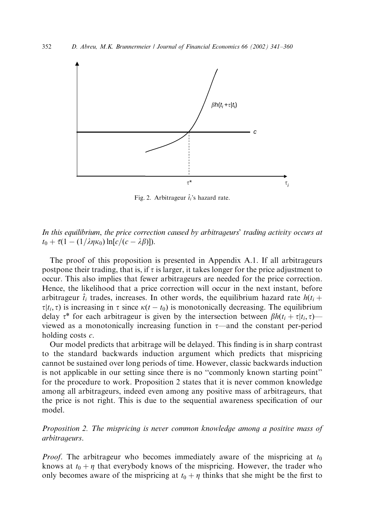

Fig. 2. Arbitrageur  $\hat{t}_i$ 's hazard rate.

In this equilibrium, the price correction caused by arbitrageurs' trading activity occurs at  $t_0 + \bar{\tau}(1 - (1/\lambda\eta\kappa_0)\ln[c/(c-\lambda\beta)]).$ 

The proof of this proposition is presented in Appendix A.1. If all arbitrageurs postpone their trading, that is, if  $\tau$  is larger, it takes longer for the price adjustment to occur. This also implies that fewer arbitrageurs are needed for the price correction. Hence, the likelihood that a price correction will occur in the next instant, before arbitrageur  $\hat{t}_i$  trades, increases. In other words, the equilibrium hazard rate  $h(t_i +$  $\tau|t_i, \tau\rangle$  is increasing in  $\tau$  since  $\kappa(t-t_0)$  is monotonically decreasing. The equilibrium delay  $\tau^*$  for each arbitrageur is given by the intersection between  $\beta h(t_i + \tau | t_i, \tau)$  viewed as a monotonically increasing function in  $\tau$ —and the constant per-period holding costs  $c$ .

Our model predicts that arbitrage will be delayed. This finding is in sharp contrast to the standard backwards induction argument which predicts that mispricing cannot be sustained over long periods of time. However, classic backwards induction is not applicable in our setting since there is no ''commonly known starting point'' for the procedure to work. Proposition 2 states that it is never common knowledge among all arbitrageurs, indeed even among any positive mass of arbitrageurs, that the price is not right. This is due to the sequential awareness specification of our model.

Proposition 2. The mispricing is never common knowledge among a positive mass of arbitrageurs.

*Proof.* The arbitrageur who becomes immediately aware of the mispricing at  $t_0$ knows at  $t_0 + \eta$  that everybody knows of the mispricing. However, the trader who only becomes aware of the mispricing at  $t_0 + \eta$  thinks that she might be the first to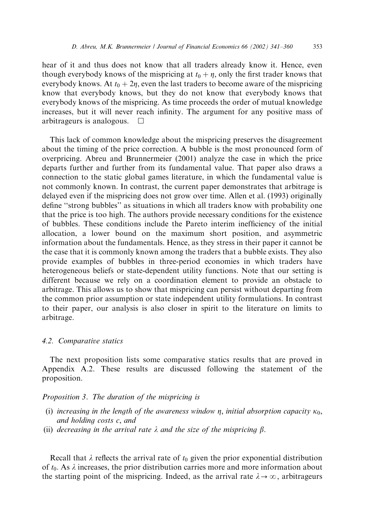hear of it and thus does not know that all traders already know it. Hence, even though everybody knows of the mispricing at  $t_0 + \eta$ , only the first trader knows that everybody knows. At  $t_0 + 2\eta$ , even the last traders to become aware of the mispricing know that everybody knows, but they do not know that everybody knows that everybody knows of the mispricing. As time proceeds the order of mutual knowledge increases, but it will never reach infinity. The argument for any positive mass of arbitrageurs is analogous.  $\square$ 

This lack of common knowledge about the mispricing preserves the disagreement about the timing of the price correction. A bubble is the most pronounced form of overpricing. Abreu and Brunnermeier (2001) analyze the case in which the price departs further and further from its fundamental value. That paper also draws a connection to the static global games literature, in which the fundamental value is not commonly known. In contrast, the current paper demonstrates that arbitrage is delayed even if the mispricing does not grow over time. Allen et al. (1993) originally define ''strong bubbles'' as situations in which all traders know with probability one that the price is too high. The authors provide necessary conditions for the existence of bubbles. These conditions include the Pareto interim inefficiency of the initial allocation, a lower bound on the maximum short position, and asymmetric information about the fundamentals. Hence, as they stress in their paper it cannot be the case that it is commonly known among the traders that a bubble exists. They also provide examples of bubbles in three-period economies in which traders have heterogeneous beliefs or state-dependent utility functions. Note that our setting is different because we rely on a coordination element to provide an obstacle to arbitrage. This allows us to show that mispricing can persist without departing from the common prior assumption or state independent utility formulations. In contrast to their paper, our analysis is also closer in spirit to the literature on limits to arbitrage.

#### 4.2. Comparative statics

The next proposition lists some comparative statics results that are proved in Appendix A.2. These results are discussed following the statement of the proposition.

# Proposition 3. The duration of the mispricing is

- (i) increasing in the length of the awareness window  $\eta$ , initial absorption capacity  $\kappa_0$ , and holding costs c; and
- (ii) decreasing in the arrival rate  $\lambda$  and the size of the mispricing  $\beta$ .

Recall that  $\lambda$  reflects the arrival rate of  $t_0$  given the prior exponential distribution of  $t_0$ . As  $\lambda$  increases, the prior distribution carries more and more information about the starting point of the mispricing. Indeed, as the arrival rate  $\lambda \rightarrow \infty$ , arbitrageurs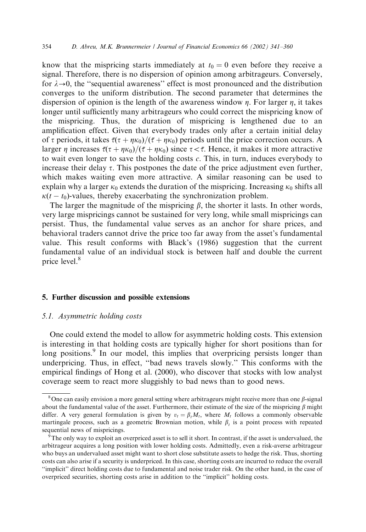know that the mispricing starts immediately at  $t_0 = 0$  even before they receive a signal. Therefore, there is no dispersion of opinion among arbitrageurs. Conversely, for  $\lambda \rightarrow 0$ , the "sequential awareness" effect is most pronounced and the distribution converges to the uniform distribution. The second parameter that determines the dispersion of opinion is the length of the awareness window  $\eta$ . For larger  $\eta$ , it takes longer until sufficiently many arbitrageurs who could correct the mispricing know of the mispricing. Thus, the duration of mispricing is lengthened due to an amplification effect. Given that everybody trades only after a certain initial delay of  $\tau$  periods, it takes  $\bar{\tau}(\tau + \eta \kappa_0)/(\bar{\tau} + \eta \kappa_0)$  periods until the price correction occurs. A larger  $\eta$  increases  $\bar{\tau}(\tau + \eta \kappa_0)/(\bar{\tau} + \eta \kappa_0)$  since  $\tau < \bar{\tau}$ . Hence, it makes it more attractive to wait even longer to save the holding costs c: This, in turn, induces everybody to increase their delay  $\tau$ . This postpones the date of the price adjustment even further, which makes waiting even more attractive. A similar reasoning can be used to explain why a larger  $\kappa_0$  extends the duration of the mispricing. Increasing  $\kappa_0$  shifts all  $\kappa(t - t_0)$ -values, thereby exacerbating the synchronization problem.

The larger the magnitude of the mispricing  $\beta$ , the shorter it lasts. In other words, very large mispricings cannot be sustained for very long, while small mispricings can persist. Thus, the fundamental value serves as an anchor for share prices, and behavioral traders cannot drive the price too far away from the asset's fundamental value. This result conforms with Black's (1986) suggestion that the current fundamental value of an individual stock is between half and double the current price level.<sup>8</sup>

## 5. Further discussion and possible extensions

# 5.1. Asymmetric holding costs

One could extend the model to allow for asymmetric holding costs. This extension is interesting in that holding costs are typically higher for short positions than for long positions.<sup>9</sup> In our model, this implies that overpricing persists longer than underpricing. Thus, in effect, ''bad news travels slowly.'' This conforms with the empirical findings of Hong et al. (2000), who discover that stocks with low analyst coverage seem to react more sluggishly to bad news than to good news.

<sup>&</sup>lt;sup>8</sup>One can easily envision a more general setting where arbitrageurs might receive more than one  $\beta$ -signal about the fundamental value of the asset. Furthermore, their estimate of the size of the mispricing  $\beta$  might differ. A very general formulation is given by  $v_t = \beta_t M_t$ , where  $M_t$  follows a commonly observable martingale process, such as a geometric Brownian motion, while  $\beta_t$  is a point process with repeated sequential news of mispricings.

<sup>&</sup>lt;sup>9</sup>The only way to exploit an overpriced asset is to sell it short. In contrast, if the asset is undervalued, the arbitrageur acquires a long position with lower holding costs. Admittedly, even a risk-averse arbitrageur who buys an undervalued asset might want to short close substitute assets to hedge the risk. Thus, shorting costs can also arise if a security is underpriced. In this case, shorting costs are incurred to reduce the overall ''implicit'' direct holding costs due to fundamental and noise trader risk. On the other hand, in the case of overpriced securities, shorting costs arise in addition to the ''implicit'' holding costs.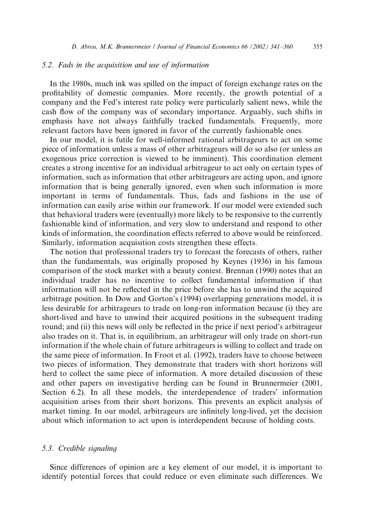# 5.2. Fads in the acquisition and use of information

In the 1980s, much ink was spilled on the impact of foreign exchange rates on the profitability of domestic companies. More recently, the growth potential of a company and the Fed's interest rate policy were particularly salient news, while the cash flow of the company was of secondary importance. Arguably, such shifts in emphasis have not always faithfully tracked fundamentals. Frequently, more relevant factors have been ignored in favor of the currently fashionable ones.

In our model, it is futile for well-informed rational arbitrageurs to act on some piece of information unless a mass of other arbitrageurs will do so also (or unless an exogenous price correction is viewed to be imminent). This coordination element creates a strong incentive for an individual arbitrageur to act only on certain types of information, such as information that other arbitrageurs are acting upon, and ignore information that is being generally ignored, even when such information is more important in terms of fundamentals. Thus, fads and fashions in the use of information can easily arise within our framework. If our model were extended such that behavioral traders were (eventually) more likely to be responsive to the currently fashionable kind of information, and very slow to understand and respond to other kinds of information, the coordination effects referred to above would be reinforced. Similarly, information acquisition costs strengthen these effects.

The notion that professional traders try to forecast the forecasts of others, rather than the fundamentals, was originally proposed by Keynes (1936) in his famous comparison of the stock market with a beauty contest. Brennan (1990) notes that an individual trader has no incentive to collect fundamental information if that information will not be reflected in the price before she has to unwind the acquired arbitrage position. In Dow and Gorton's (1994) overlapping generations model, it is less desirable for arbitrageurs to trade on long-run information because (i) they are short-lived and have to unwind their acquired positions in the subsequent trading round; and (ii) this news will only be reflected in the price if next period's arbitrageur also trades on it. That is, in equilibrium, an arbitrageur will only trade on short-run information if the whole chain of future arbitrageurs is willing to collect and trade on the same piece of information. In Froot et al. (1992), traders have to choose between two pieces of information. They demonstrate that traders with short horizons will herd to collect the same piece of information. A more detailed discussion of these and other papers on investigative herding can be found in Brunnermeier (2001, Section 6.2). In all these models, the interdependence of traders' information acquisition arises from their short horizons. This prevents an explicit analysis of market timing. In our model, arbitrageurs are infinitely long-lived, yet the decision about which information to act upon is interdependent because of holding costs.

## 5.3. Credible signaling

Since differences of opinion are a key element of our model, it is important to identify potential forces that could reduce or even eliminate such differences. We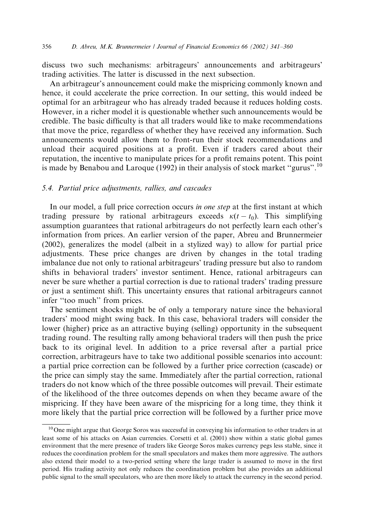discuss two such mechanisms: arbitrageurs' announcements and arbitrageurs' trading activities. The latter is discussed in the next subsection.

An arbitrageur's announcement could make the mispricing commonly known and hence, it could accelerate the price correction. In our setting, this would indeed be optimal for an arbitrageur who has already traded because it reduces holding costs. However, in a richer model it is questionable whether such announcements would be credible. The basic difficulty is that all traders would like to make recommendations that move the price, regardless of whether they have received any information. Such announcements would allow them to front-run their stock recommendations and unload their acquired positions at a profit. Even if traders cared about their reputation, the incentive to manipulate prices for a profit remains potent. This point is made by Benabou and Laroque (1992) in their analysis of stock market "gurus".<sup>10</sup>

## 5.4. Partial price adjustments, rallies, and cascades

In our model, a full price correction occurs in one step at the first instant at which trading pressure by rational arbitrageurs exceeds  $\kappa(t - t_0)$ . This simplifying assumption guarantees that rational arbitrageurs do not perfectly learn each other's information from prices. An earlier version of the paper, Abreu and Brunnermeier (2002), generalizes the model (albeit in a stylized way) to allow for partial price adjustments. These price changes are driven by changes in the total trading imbalance due not only to rational arbitrageurs' trading pressure but also to random shifts in behavioral traders' investor sentiment. Hence, rational arbitrageurs can never be sure whether a partial correction is due to rational traders' trading pressure or just a sentiment shift. This uncertainty ensures that rational arbitrageurs cannot infer "too much" from prices.

The sentiment shocks might be of only a temporary nature since the behavioral traders' mood might swing back. In this case, behavioral traders will consider the lower (higher) price as an attractive buying (selling) opportunity in the subsequent trading round. The resulting rally among behavioral traders will then push the price back to its original level. In addition to a price reversal after a partial price correction, arbitrageurs have to take two additional possible scenarios into account: a partial price correction can be followed by a further price correction (cascade) or the price can simply stay the same. Immediately after the partial correction, rational traders do not know which of the three possible outcomes will prevail. Their estimate of the likelihood of the three outcomes depends on when they became aware of the mispricing. If they have been aware of the mispricing for a long time, they think it more likely that the partial price correction will be followed by a further price move

<sup>&</sup>lt;sup>10</sup> One might argue that George Soros was successful in conveying his information to other traders in at least some of his attacks on Asian currencies. Corsetti et al. (2001) show within a static global games environment that the mere presence of traders like George Soros makes currency pegs less stable, since it reduces the coordination problem for the small speculators and makes them more aggressive. The authors also extend their model to a two-period setting where the large trader is assumed to move in the first period. His trading activity not only reduces the coordination problem but also provides an additional public signal to the small speculators, who are then more likely to attack the currency in the second period.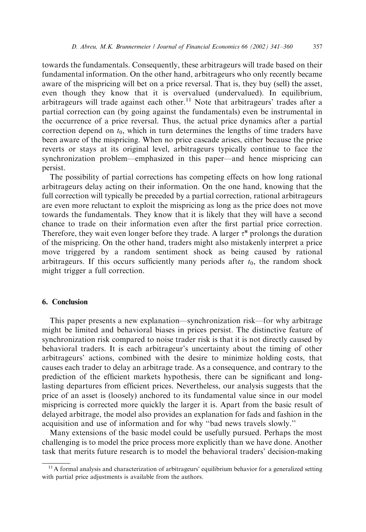towards the fundamentals. Consequently, these arbitrageurs will trade based on their fundamental information. On the other hand, arbitrageurs who only recently became aware of the mispricing will bet on a price reversal. That is, they buy (sell) the asset, even though they know that it is overvalued (undervalued). In equilibrium, arbitrageurs will trade against each other.<sup>11</sup> Note that arbitrageurs' trades after a partial correction can (by going against the fundamentals) even be instrumental in the occurrence of a price reversal. Thus, the actual price dynamics after a partial correction depend on  $t_0$ , which in turn determines the lengths of time traders have been aware of the mispricing. When no price cascade arises, either because the price reverts or stays at its original level, arbitrageurs typically continue to face the synchronization problem—emphasized in this paper—and hence mispricing can persist.

The possibility of partial corrections has competing effects on how long rational arbitrageurs delay acting on their information. On the one hand, knowing that the full correction will typically be preceded by a partial correction, rational arbitrageurs are even more reluctant to exploit the mispricing as long as the price does not move towards the fundamentals. They know that it is likely that they will have a second chance to trade on their information even after the first partial price correction. Therefore, they wait even longer before they trade. A larger  $\tau^*$  prolongs the duration of the mispricing. On the other hand, traders might also mistakenly interpret a price move triggered by a random sentiment shock as being caused by rational arbitrageurs. If this occurs sufficiently many periods after  $t_0$ , the random shock might trigger a full correction.

## 6. Conclusion

This paper presents a new explanation—synchronization risk—for why arbitrage might be limited and behavioral biases in prices persist. The distinctive feature of synchronization risk compared to noise trader risk is that it is not directly caused by behavioral traders. It is each arbitrageur's uncertainty about the timing of other arbitrageurs' actions, combined with the desire to minimize holding costs, that causes each trader to delay an arbitrage trade. As a consequence, and contrary to the prediction of the efficient markets hypothesis, there can be significant and longlasting departures from efficient prices. Nevertheless, our analysis suggests that the price of an asset is (loosely) anchored to its fundamental value since in our model mispricing is corrected more quickly the larger it is. Apart from the basic result of delayed arbitrage, the model also provides an explanation for fads and fashion in the acquisition and use of information and for why ''bad news travels slowly.''

Many extensions of the basic model could be usefully pursued. Perhaps the most challenging is to model the price process more explicitly than we have done. Another task that merits future research is to model the behavioral traders' decision-making

 $11$ A formal analysis and characterization of arbitrageurs' equilibrium behavior for a generalized setting with partial price adjustments is available from the authors.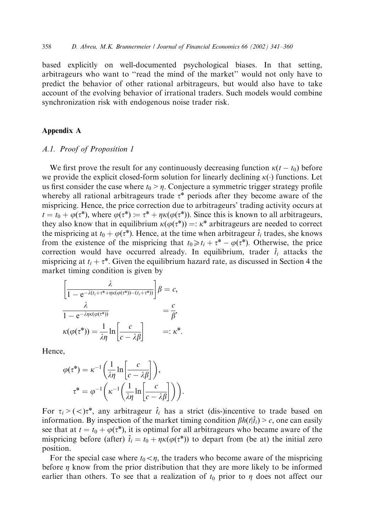based explicitly on well-documented psychological biases. In that setting, arbitrageurs who want to ''read the mind of the market'' would not only have to predict the behavior of other rational arbitrageurs, but would also have to take account of the evolving behavior of irrational traders. Such models would combine synchronization risk with endogenous noise trader risk.

## Appendix A

## A.1. Proof of Proposition 1

We first prove the result for any continuously decreasing function  $\kappa(t - t_0)$  before we provide the explicit closed-form solution for linearly declining  $\kappa(\cdot)$  functions. Let us first consider the case where  $t_0 > \eta$ . Conjecture a symmetric trigger strategy profile whereby all rational arbitrageurs trade  $\tau^*$  periods after they become aware of the mispricing. Hence, the price correction due to arbitrageurs' trading activity occurs at  $t = t_0 + \varphi(\tau^*)$ , where  $\varphi(\tau^*) = \tau^* + \eta \kappa(\varphi(\tau^*))$ . Since this is known to all arbitrageurs, they also know that in equilibrium  $\kappa(\varphi(\tau^*)) =: \kappa^*$  arbitrageurs are needed to correct the mispricing at  $t_0 + \varphi(\tau^*)$ . Hence, at the time when arbitrageur  $\hat{t}_i$  trades, she knows from the existence of the mispricing that  $t_0 \geq t_i + \tau^* - \varphi(\tau^*)$ . Otherwise, the price correction would have occurred already. In equilibrium, trader  $\hat{t}_i$  attacks the mispricing at  $t_i + \tau^*$ . Given the equilibrium hazard rate, as discussed in Section 4 the market timing condition is given by

$$
\left[\frac{\lambda}{1 - e^{-\lambda(t_i + \tau^* + \eta \kappa(\varphi(\tau^*)) - (t_i + \tau^*))}}\right] \beta = c,
$$
  

$$
\frac{\lambda}{1 - e^{-\lambda \eta \kappa(\varphi(\tau^*))}} = \frac{c}{\beta},
$$
  

$$
\kappa(\varphi(\tau^*)) = \frac{1}{\lambda \eta} \ln \left[\frac{c}{c - \lambda \beta}\right] =: \kappa^*.
$$

Hence,

$$
\varphi(\tau^*) = \kappa^{-1} \left( \frac{1}{\lambda \eta} \ln \left[ \frac{c}{c - \lambda \beta} \right] \right),
$$
  

$$
\tau^* = \varphi^{-1} \left( \kappa^{-1} \left( \frac{1}{\lambda \eta} \ln \left[ \frac{c}{c - \lambda \beta} \right] \right) \right).
$$

For  $\tau_i$  > (<) $\tau^*$ , any arbitrageur  $\hat{t}_i$  has a strict (dis-)incentive to trade based on information. By inspection of the market timing condition  $\beta h(t|\hat{t}_i) > c$ , one can easily see that at  $t = t_0 + \varphi(\tau^*)$ , it is optimal for all arbitrageurs who became aware of the mispricing before (after)  $\hat{t}_i = t_0 + \eta \kappa (\varphi(\tau^*))$  to depart from (be at) the initial zero position.

For the special case where  $t_0 < \eta$ , the traders who become aware of the mispricing before  $\eta$  know from the prior distribution that they are more likely to be informed earlier than others. To see that a realization of  $t_0$  prior to  $\eta$  does not affect our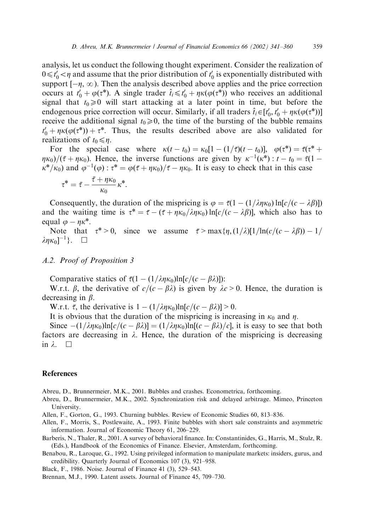analysis, let us conduct the following thought experiment. Consider the realization of  $0 \le t'_0 < \eta$  and assume that the prior distribution of  $t'_0$  is exponentially distributed with support  $[-\eta, \infty)$ . Then the analysis described above applies and the price correction occurs at  $t'_0 + \varphi(\tau^*)$ . A single trader  $\hat{t}_i \leq t'_0 + \eta \kappa(\varphi(\tau^*))$  who receives an additional signal that  $t_0 \ge 0$  will start attacking at a later point in time, but before the endogenous price correction will occur. Similarly, if all traders  $\hat{t}_i \in [t'_0, t'_0 + \eta \kappa (\varphi(\tau^*))]$ receive the additional signal  $t_0 \ge 0$ , the time of the bursting of the bubble remains  $t'_0 + \eta \kappa (\varphi(\tau^*)) + \tau^*$ . Thus, the results described above are also validated for realizations of  $t_0 \leq \eta$ .

For the special case where  $\kappa(t-t_0)=\kappa_0[1-(1/\bar{\tau})(t-t_0)], \varphi(\tau^*)=\bar{\tau}(\tau^*+\tau)$  $\eta\kappa_0/(\bar{\tau}+\eta\kappa_0)$ . Hence, the inverse functions are given by  $\kappa^{-1}(\kappa^*)$ :  $t-t_0 = \bar{\tau}(1-\tau)$  $\kappa^*/\kappa_0$ ) and  $\varphi^{-1}(\varphi): \tau^* = \varphi(\bar{\tau} + \eta \kappa_0)/\bar{\tau} - \eta \kappa_0$ . It is easy to check that in this case

$$
\tau^* = \bar{\tau} - \frac{\bar{\tau} + \eta \kappa_0}{\kappa_0} \kappa^*.
$$

Consequently, the duration of the mispricing is  $\varphi = \bar{\tau}(1 - (1/\lambda \eta \kappa_0) \ln[c/(c - \lambda \beta)])$ and the waiting time is  $\tau^* = \bar{\tau} - (\bar{\tau} + \eta \kappa_0/\lambda \eta \kappa_0) \ln[c/(c - \lambda \beta)]$ , which also has to equal  $\varphi - n\kappa^*$ .

Note that  $\tau^* > 0$ , since we assume  $\bar{\tau} > \max{\{\eta,(1/\lambda)\}}[1/\ln(c/(c - \lambda \beta)) - 1/\tau]$  $\lambda \eta \kappa_0$ ]<sup>-1</sup>}.  $\Box$ 

#### A.2. Proof of Proposition 3

Comparative statics of  $\bar{\tau}(1-(1/\lambda\eta\kappa_0)\ln[c/(c-\beta\lambda)])$ :

W.r.t.  $\beta$ , the derivative of  $c/(c - \beta \lambda)$  is given by  $\lambda c > 0$ . Hence, the duration is decreasing in  $\beta$ .

W.r.t.  $\bar{\tau}$ , the derivative is  $1 - \frac{1}{\lambda \eta \kappa_0} \ln[c/(c - \beta \lambda)] > 0$ .

It is obvious that the duration of the mispricing is increasing in  $\kappa_0$  and  $\eta$ .

Since  $-(1/\lambda\eta\kappa_0)\ln[c/(c-\beta\lambda)]=(1/\lambda\eta\kappa_0)\ln[(c-\beta\lambda)/c]$ , it is easy to see that both factors are decreasing in  $\lambda$ . Hence, the duration of the mispricing is decreasing in  $\lambda$ .  $\square$ 

#### References

Abreu, D., Brunnermeier, M.K., 2001. Bubbles and crashes. Econometrica, forthcoming.

Abreu, D., Brunnermeier, M.K., 2002. Synchronization risk and delayed arbitrage. Mimeo, Princeton University.

Allen, F., Gorton, G., 1993. Churning bubbles. Review of Economic Studies 60, 813–836.

- Allen, F., Morris, S., Postlewaite, A., 1993. Finite bubbles with short sale constraints and asymmetric information. Journal of Economic Theory 61, 206–229.
- Barberis, N., Thaler, R., 2001. A survey of behavioral finance. In: Constantinides, G., Harris, M., Stulz, R. (Eds.), Handbook of the Economics of Finance. Elsevier, Amsterdam, forthcoming.
- Benabou, R., Laroque, G., 1992. Using privileged information to manipulate markets: insiders, gurus, and credibility. Quarterly Journal of Economics 107 (3), 921–958.

Black, F., 1986. Noise. Journal of Finance 41 (3), 529–543.

Brennan, M.J., 1990. Latent assets. Journal of Finance 45, 709–730.